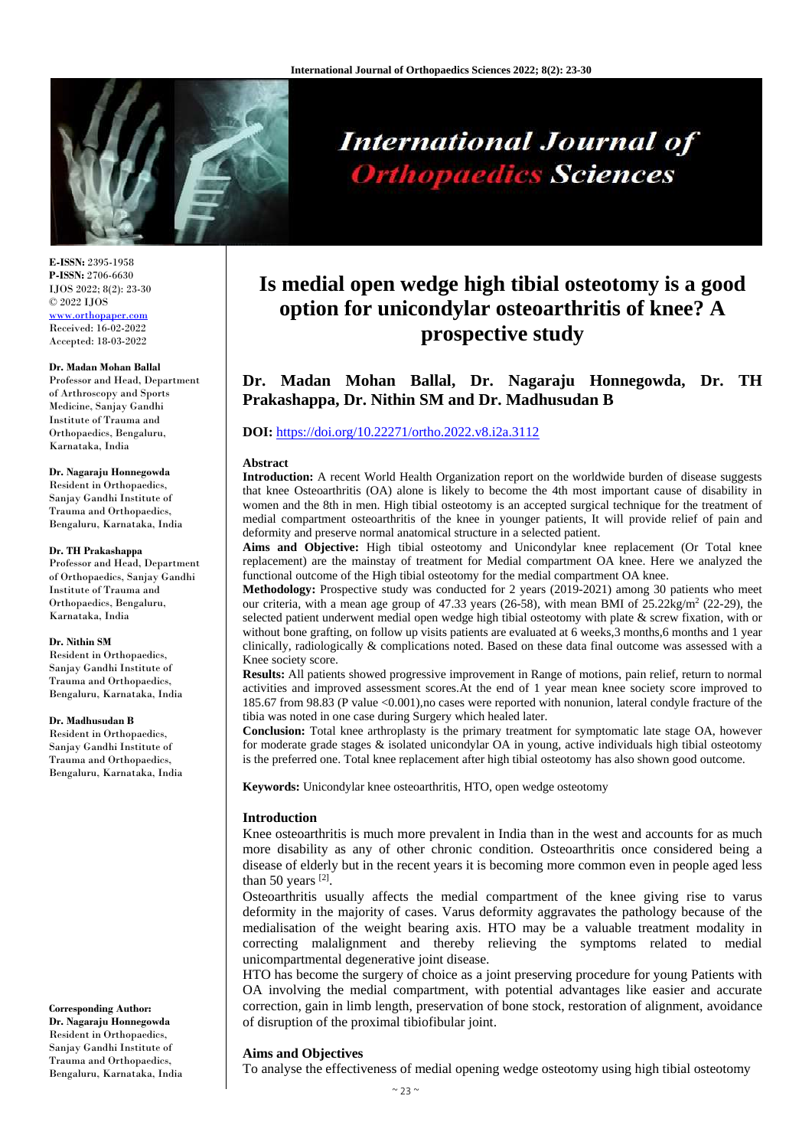

**International Journal of Orthopaedics Sciences** 

# **Is medial open wedge high tibial osteotomy is a good option for unicondylar osteoarthritis of knee? A prospective study**

**Dr. Madan Mohan Ballal, Dr. Nagaraju Honnegowda, Dr. TH Prakashappa, Dr. Nithin SM and Dr. Madhusudan B**

# **DOI:** <https://doi.org/10.22271/ortho.2022.v8.i2a.3112>

### **Abstract**

**Introduction:** A recent World Health Organization report on the worldwide burden of disease suggests that knee Osteoarthritis (OA) alone is likely to become the 4th most important cause of disability in women and the 8th in men. High tibial osteotomy is an accepted surgical technique for the treatment of medial compartment osteoarthritis of the knee in younger patients, It will provide relief of pain and deformity and preserve normal anatomical structure in a selected patient.

**Aims and Objective:** High tibial osteotomy and Unicondylar knee replacement (Or Total knee replacement) are the mainstay of treatment for Medial compartment OA knee. Here we analyzed the functional outcome of the High tibial osteotomy for the medial compartment OA knee.

**Methodology:** Prospective study was conducted for 2 years (2019-2021) among 30 patients who meet our criteria, with a mean age group of 47.33 years (26-58), with mean BMI of  $25.22\text{kg/m}^2$  (22-29), the selected patient underwent medial open wedge high tibial osteotomy with plate & screw fixation, with or without bone grafting, on follow up visits patients are evaluated at 6 weeks, 3 months, 6 months and 1 year clinically, radiologically & complications noted. Based on these data final outcome was assessed with a Knee society score.

**Results:** All patients showed progressive improvement in Range of motions, pain relief, return to normal activities and improved assessment scores.At the end of 1 year mean knee society score improved to 185.67 from 98.83 (P value <0.001),no cases were reported with nonunion, lateral condyle fracture of the tibia was noted in one case during Surgery which healed later.

**Conclusion:** Total knee arthroplasty is the primary treatment for symptomatic late stage OA, however for moderate grade stages & isolated unicondylar OA in young, active individuals high tibial osteotomy is the preferred one. Total knee replacement after high tibial osteotomy has also shown good outcome.

**Keywords:** Unicondylar knee osteoarthritis, HTO, open wedge osteotomy

# **Introduction**

Knee osteoarthritis is much more prevalent in India than in the west and accounts for as much more disability as any of other chronic condition. Osteoarthritis once considered being a disease of elderly but in the recent years it is becoming more common even in people aged less than 50 years  $^{[2]}$ .

Osteoarthritis usually affects the medial compartment of the knee giving rise to varus deformity in the majority of cases. Varus deformity aggravates the pathology because of the medialisation of the weight bearing axis. HTO may be a valuable treatment modality in correcting malalignment and thereby relieving the symptoms related to medial unicompartmental degenerative joint disease.

HTO has become the surgery of choice as a joint preserving procedure for young Patients with OA involving the medial compartment, with potential advantages like easier and accurate correction, gain in limb length, preservation of bone stock, restoration of alignment, avoidance of disruption of the proximal tibiofibular joint.

# **Aims and Objectives**

To analyse the effectiveness of medial opening wedge osteotomy using high tibial osteotomy

**E-ISSN:** 2395-1958 **P-ISSN:** 2706-6630 IJOS 2022; 8(2): 23-30 © 2022 IJOS [www.orthopaper.com](http://www.orthopaper.com/) Received: 16-02-2022 Accepted: 18-03-2022

#### **Dr. Madan Mohan Ballal**

Professor and Head, Department of Arthroscopy and Sports Medicine, Sanjay Gandhi Institute of Trauma and Orthopaedics, Bengaluru, Karnataka, India

## **Dr. Nagaraju Honnegowda**

Resident in Orthopaedics, Sanjay Gandhi Institute of Trauma and Orthopaedics, Bengaluru, Karnataka, India

#### **Dr. TH Prakashappa**

Professor and Head, Department of Orthopaedics, Sanjay Gandhi Institute of Trauma and Orthopaedics, Bengaluru, Karnataka, India

#### **Dr. Nithin SM**

Resident in Orthopaedics, Sanjay Gandhi Institute of Trauma and Orthopaedics, Bengaluru, Karnataka, India

#### **Dr. Madhusudan B**

Resident in Orthopaedics, Sanjay Gandhi Institute of Trauma and Orthopaedics, Bengaluru, Karnataka, India

**Corresponding Author: Dr. Nagaraju Honnegowda**

Resident in Orthopaedics, Sanjay Gandhi Institute of Trauma and Orthopaedics, Bengaluru, Karnataka, India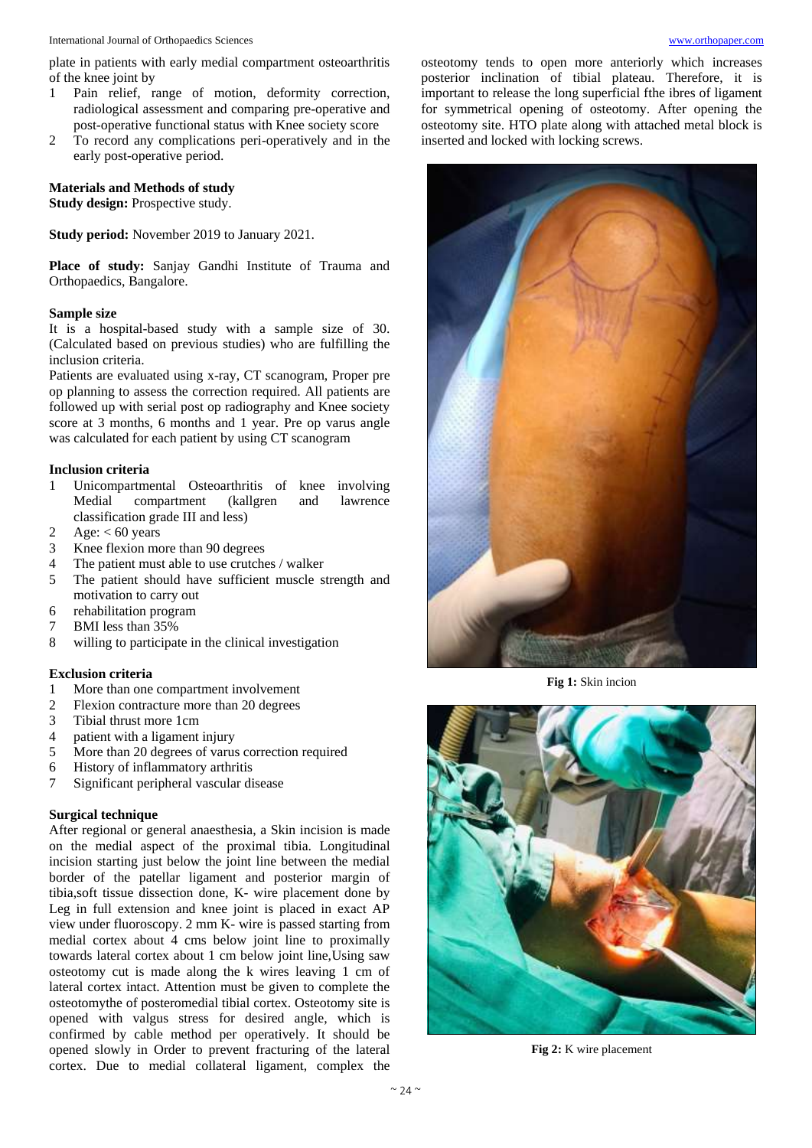plate in patients with early medial compartment osteoarthritis of the knee joint by

- 1 Pain relief, range of motion, deformity correction, radiological assessment and comparing pre-operative and post-operative functional status with Knee society score
- 2 To record any complications peri-operatively and in the early post-operative period.

**Materials and Methods of study Study design:** Prospective study.

**Study period:** November 2019 to January 2021.

**Place of study:** Sanjay Gandhi Institute of Trauma and Orthopaedics, Bangalore.

# **Sample size**

It is a hospital-based study with a sample size of 30. (Calculated based on previous studies) who are fulfilling the inclusion criteria.

Patients are evaluated using x-ray, CT scanogram, Proper pre op planning to assess the correction required. All patients are followed up with serial post op radiography and Knee society score at 3 months, 6 months and 1 year. Pre op varus angle was calculated for each patient by using CT scanogram

# **Inclusion criteria**

- 1 Unicompartmental Osteoarthritis of knee involving Medial compartment (kallgren and lawrence classification grade III and less)
- 2 Age:  $< 60$  years
- 3 Knee flexion more than 90 degrees
- 4 The patient must able to use crutches / walker
- 5 The patient should have sufficient muscle strength and motivation to carry out
- 6 rehabilitation program
- 7 BMI less than 35%
- 8 willing to participate in the clinical investigation

## **Exclusion criteria**

- 1 More than one compartment involvement
- 2 Flexion contracture more than 20 degrees
- 3 Tibial thrust more 1cm
- 4 patient with a ligament injury
- 5 More than 20 degrees of varus correction required
- 6 History of inflammatory arthritis
- 7 Significant peripheral vascular disease

# **Surgical technique**

After regional or general anaesthesia, a Skin incision is made on the medial aspect of the proximal tibia. Longitudinal incision starting just below the joint line between the medial border of the patellar ligament and posterior margin of tibia,soft tissue dissection done, K- wire placement done by Leg in full extension and knee joint is placed in exact AP view under fluoroscopy. 2 mm K- wire is passed starting from medial cortex about 4 cms below joint line to proximally towards lateral cortex about 1 cm below joint line,Using saw osteotomy cut is made along the k wires leaving 1 cm of lateral cortex intact. Attention must be given to complete the osteotomythe of posteromedial tibial cortex. Osteotomy site is opened with valgus stress for desired angle, which is confirmed by cable method per operatively. It should be opened slowly in Order to prevent fracturing of the lateral cortex. Due to medial collateral ligament, complex the

osteotomy tends to open more anteriorly which increases posterior inclination of tibial plateau. Therefore, it is important to release the long superficial fthe ibres of ligament for symmetrical opening of osteotomy. After opening the osteotomy site. HTO plate along with attached metal block is inserted and locked with locking screws.



**Fig 1:** Skin incion



**Fig 2:** K wire placement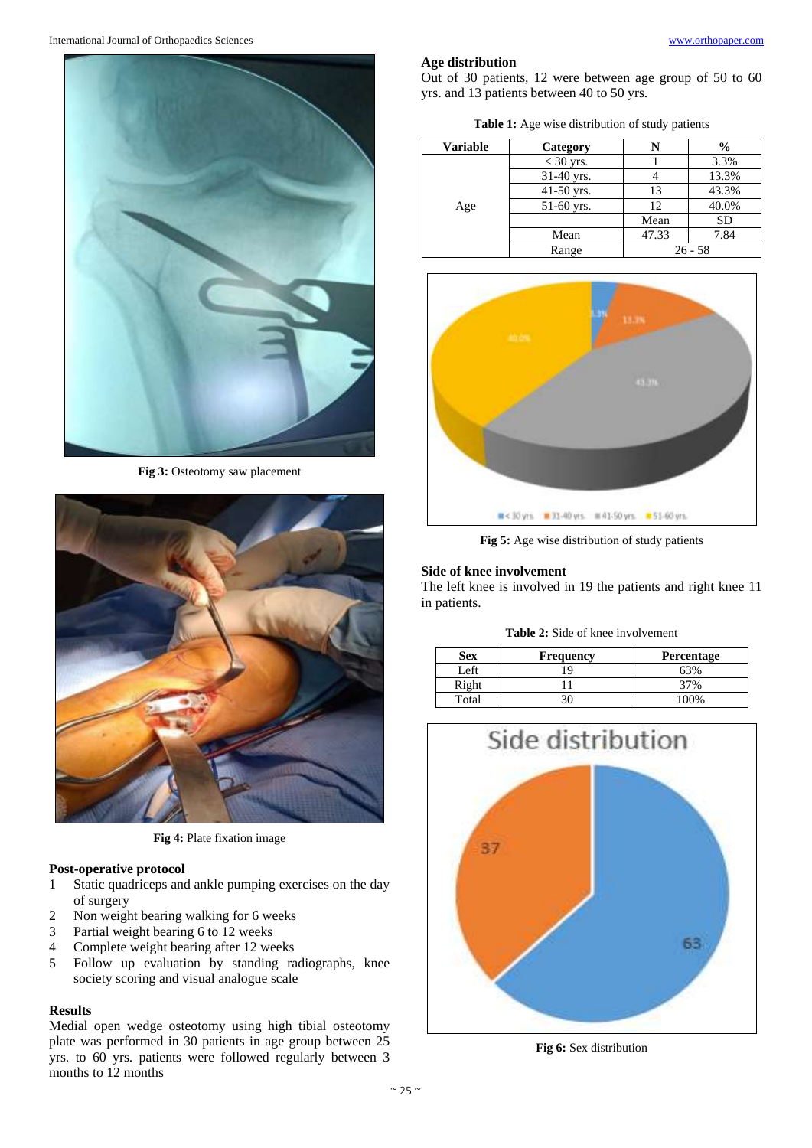

**Fig 3:** Osteotomy saw placement



**Fig 4:** Plate fixation image

# **Post-operative protocol**

- 1 Static quadriceps and ankle pumping exercises on the day of surgery
- 2 Non weight bearing walking for 6 weeks
- 3 Partial weight bearing 6 to 12 weeks
- 4 Complete weight bearing after 12 weeks
- 5 Follow up evaluation by standing radiographs, knee society scoring and visual analogue scale

# **Results**

Medial open wedge osteotomy using high tibial osteotomy plate was performed in 30 patients in age group between 25 yrs. to 60 yrs. patients were followed regularly between 3 months to 12 months

# **Age distribution**

Out of 30 patients, 12 were between age group of 50 to 60 yrs. and 13 patients between 40 to 50 yrs.

**Table 1:** Age wise distribution of study patients

| <b>Variable</b> | Category    |       | $\frac{6}{6}$ |  |
|-----------------|-------------|-------|---------------|--|
|                 | $<$ 30 yrs. |       | 3.3%          |  |
| Age             | 31-40 yrs.  |       | 13.3%         |  |
|                 | 41-50 yrs.  | 13    | 43.3%         |  |
|                 | 51-60 yrs.  | 12    | 40.0%         |  |
|                 |             | Mean  | <b>SD</b>     |  |
|                 | Mean        | 47.33 | 7.84          |  |
|                 | Range       |       | $26 - 58$     |  |



**Fig 5:** Age wise distribution of study patients

## **Side of knee involvement**

The left knee is involved in 19 the patients and right knee 11 in patients.

**Table 2:** Side of knee involvement

| Sex   | <b>Frequency</b> | <b>Percentage</b> |
|-------|------------------|-------------------|
| Left  | q                |                   |
| Right |                  |                   |
| Total |                  | በበ%               |



**Fig 6:** Sex distribution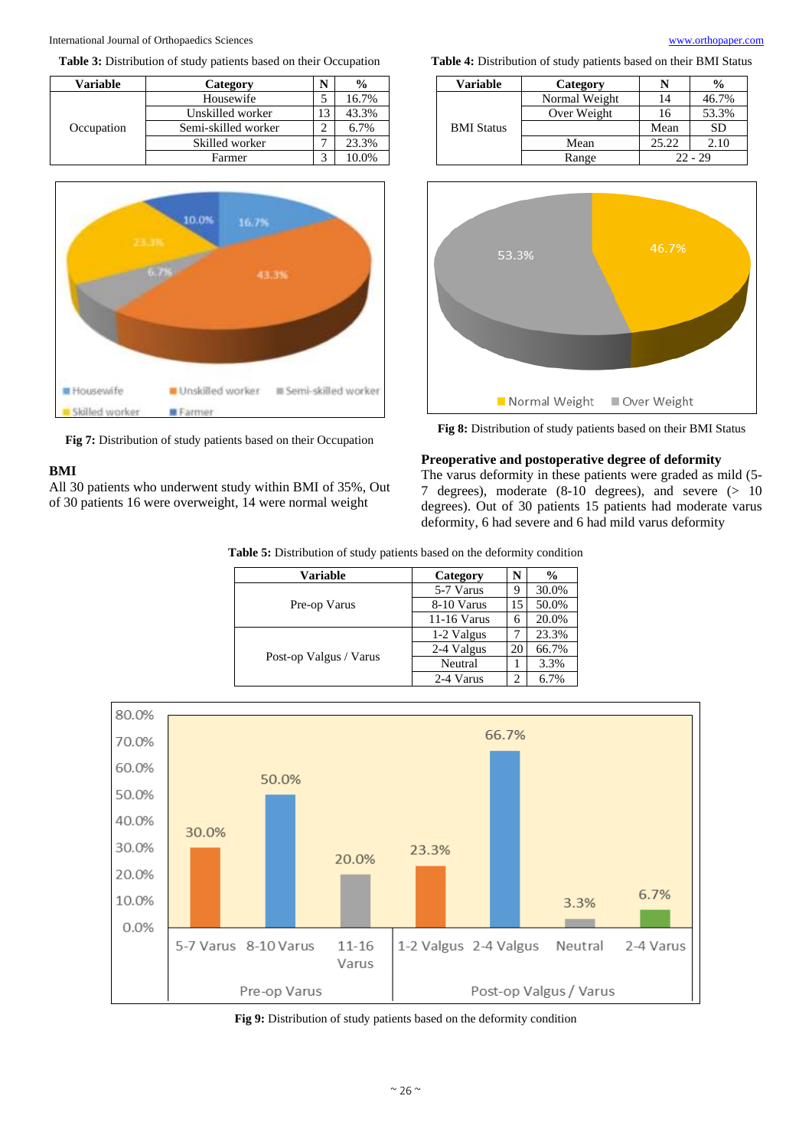

**Table 3:** Distribution of study patients based on their Occupation





**Fig 7:** Distribution of study patients based on their Occupation

# **BMI**

All 30 patients who underwent study within BMI of 35%, Out of 30 patients 16 were overweight, 14 were normal weight

**Table 4:** Distribution of study patients based on their BMI Status

| Variable          | Category      | $\frac{6}{9}$ |           |  |  |
|-------------------|---------------|---------------|-----------|--|--|
| <b>BMI</b> Status | Normal Weight | 14            | 46.7%     |  |  |
|                   | Over Weight   | 16            | 53.3%     |  |  |
|                   |               | Mean          | <b>SD</b> |  |  |
|                   | Mean          | 25.22         | 2.10      |  |  |
|                   | Range         |               | $22 - 29$ |  |  |



**Fig 8:** Distribution of study patients based on their BMI Status

# **Preoperative and postoperative degree of deformity**

The varus deformity in these patients were graded as mild (5- 7 degrees), moderate  $(8-10$  degrees), and severe  $(> 10$ degrees). Out of 30 patients 15 patients had moderate varus deformity, 6 had severe and 6 had mild varus deformity

**Table 5:** Distribution of study patients based on the deformity condition

| Variable               | Category    | N  | $\frac{0}{0}$ |
|------------------------|-------------|----|---------------|
|                        | 5-7 Varus   | y  | 30.0%         |
| Pre-op Varus           | 8-10 Varus  | 15 | 50.0%         |
|                        | 11-16 Varus | 6  | 20.0%         |
| Post-op Valgus / Varus | 1-2 Valgus  |    | 23.3%         |
|                        | 2-4 Valgus  | 20 | 66.7%         |
|                        | Neutral     |    | 3.3%          |
|                        | 2-4 Varus   |    | 6.7%          |



**Fig 9:** Distribution of study patients based on the deformity condition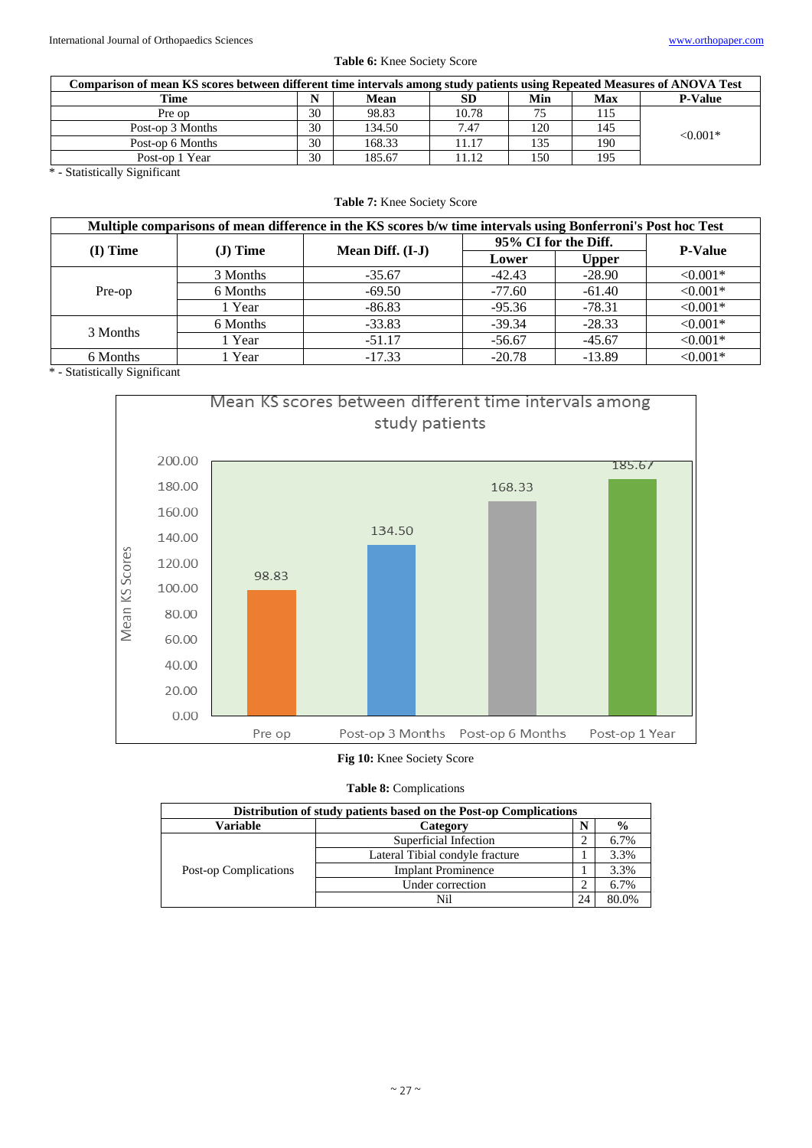|  |  |  | Table 6: Knee Society Score |  |
|--|--|--|-----------------------------|--|
|--|--|--|-----------------------------|--|

| Comparison of mean KS scores between different time intervals among study patients using Repeated Measures of ANOVA Test |    |        |       |     |     |                |  |
|--------------------------------------------------------------------------------------------------------------------------|----|--------|-------|-----|-----|----------------|--|
| Time                                                                                                                     |    | Mean   | SD    | Min | Max | <b>P-Value</b> |  |
| Pre op                                                                                                                   | 30 | 98.83  | 10.78 | 75  | 115 |                |  |
| Post-op 3 Months                                                                                                         | 30 | 134.50 | 7.47  | 120 | 145 | $< 0.001*$     |  |
| Post-op 6 Months                                                                                                         | 30 | 168.33 | 11.17 | 135 | 190 |                |  |
| Post-op 1 Year                                                                                                           | 30 | 185.67 | 11.12 | 150 | 195 |                |  |

\* - Statistically Significant

|  |  | <b>Table 7:</b> Knee Society Score |  |
|--|--|------------------------------------|--|
|  |  |                                    |  |

| Multiple comparisons of mean difference in the KS scores b/w time intervals using Bonferroni's Post hoc Test |           |                  |                      |                |            |  |  |  |
|--------------------------------------------------------------------------------------------------------------|-----------|------------------|----------------------|----------------|------------|--|--|--|
|                                                                                                              |           | Mean Diff. (I-J) | 95% CI for the Diff. | <b>P-Value</b> |            |  |  |  |
| $(I)$ Time                                                                                                   | $J)$ Time |                  | Lower                | <b>Upper</b>   |            |  |  |  |
| Pre-op                                                                                                       | 3 Months  | $-35.67$         | $-42.43$             | $-28.90$       | $< 0.001*$ |  |  |  |
|                                                                                                              | 6 Months  | $-69.50$         | $-77.60$             | $-61.40$       | $< 0.001*$ |  |  |  |
|                                                                                                              | l Year    | $-86.83$         | $-95.36$             | $-78.31$       | $< 0.001*$ |  |  |  |
| 3 Months                                                                                                     | 6 Months  | $-33.83$         | $-39.34$             | $-28.33$       | $< 0.001*$ |  |  |  |
|                                                                                                              | 1 Year    | $-51.17$         | $-56.67$             | $-45.67$       | $< 0.001*$ |  |  |  |
| 6 Months                                                                                                     | Year      | $-17.33$         | $-20.78$             | $-13.89$       | $< 0.001*$ |  |  |  |

\* - Statistically Significant



# **Fig 10:** Knee Society Score

**Table 8:** Complications

| Distribution of study patients based on the Post-op Complications |                                 |    |       |  |  |  |
|-------------------------------------------------------------------|---------------------------------|----|-------|--|--|--|
| <b>Variable</b>                                                   | N<br>Category                   |    |       |  |  |  |
| Post-op Complications                                             | Superficial Infection           |    | 6.7%  |  |  |  |
|                                                                   | Lateral Tibial condyle fracture |    | 3.3%  |  |  |  |
|                                                                   | <b>Implant Prominence</b>       |    | 3.3%  |  |  |  |
|                                                                   | Under correction                |    | 6.7%  |  |  |  |
|                                                                   |                                 | 24 | 80.0% |  |  |  |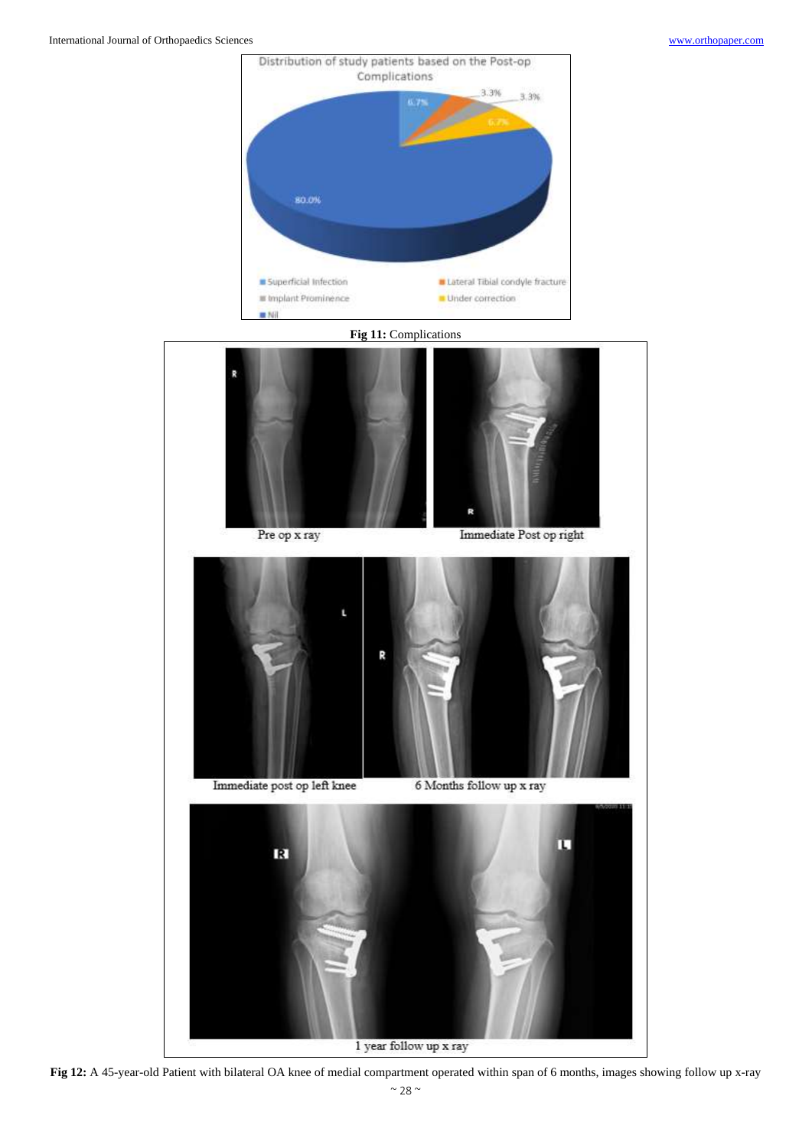

1 year follow up x ray

**Fig 12:** A 45-year-old Patient with bilateral OA knee of medial compartment operated within span of 6 months, images showing follow up x-ray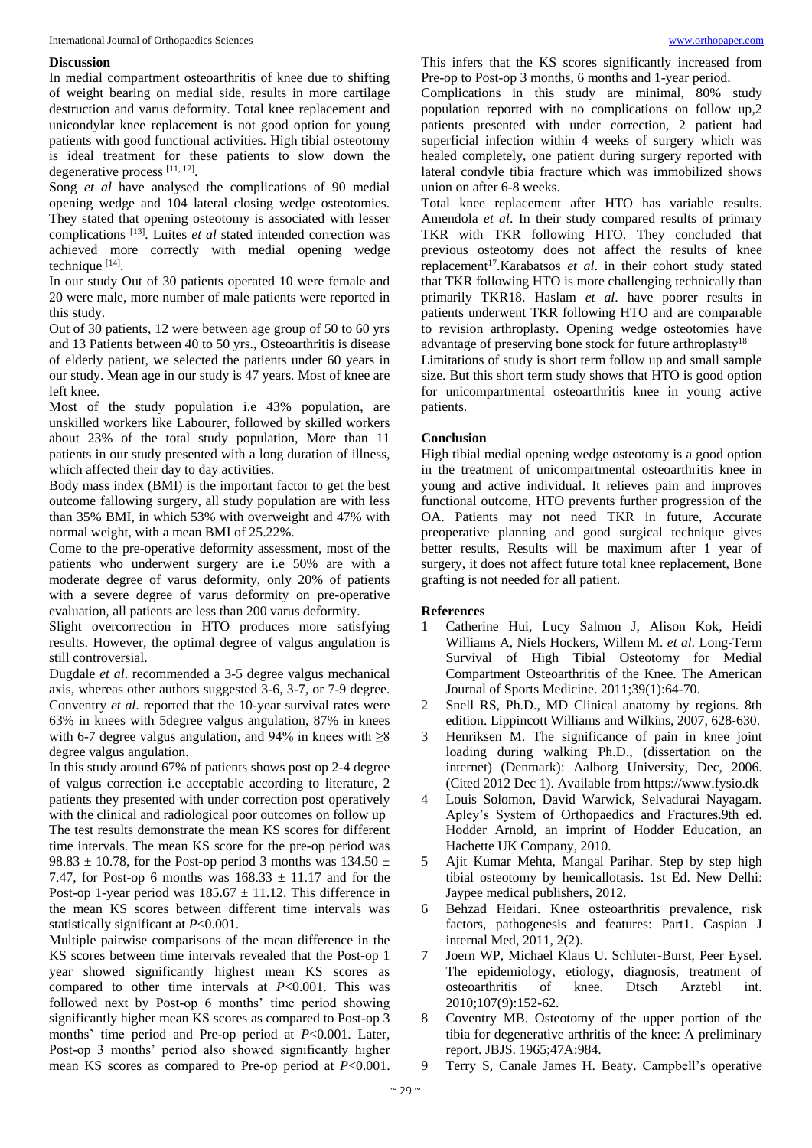## **Discussion**

In medial compartment osteoarthritis of knee due to shifting of weight bearing on medial side, results in more cartilage destruction and varus deformity. Total knee replacement and unicondylar knee replacement is not good option for young patients with good functional activities. High tibial osteotomy is ideal treatment for these patients to slow down the degenerative process [11, 12].

Song *et al* have analysed the complications of 90 medial opening wedge and 104 lateral closing wedge osteotomies. They stated that opening osteotomy is associated with lesser complications [13] . Luites *et al* stated intended correction was achieved more correctly with medial opening wedge technique [14].

In our study Out of 30 patients operated 10 were female and 20 were male, more number of male patients were reported in this study.

Out of 30 patients, 12 were between age group of 50 to 60 yrs and 13 Patients between 40 to 50 yrs., Osteoarthritis is disease of elderly patient, we selected the patients under 60 years in our study. Mean age in our study is 47 years. Most of knee are left knee.

Most of the study population i.e 43% population, are unskilled workers like Labourer, followed by skilled workers about 23% of the total study population, More than 11 patients in our study presented with a long duration of illness, which affected their day to day activities.

Body mass index (BMI) is the important factor to get the best outcome fallowing surgery, all study population are with less than 35% BMI, in which 53% with overweight and 47% with normal weight, with a mean BMI of 25.22%.

Come to the pre-operative deformity assessment, most of the patients who underwent surgery are i.e 50% are with a moderate degree of varus deformity, only 20% of patients with a severe degree of varus deformity on pre-operative evaluation, all patients are less than 200 varus deformity.

Slight overcorrection in HTO produces more satisfying results. However, the optimal degree of valgus angulation is still controversial.

Dugdale *et al*. recommended a 3-5 degree valgus mechanical axis, whereas other authors suggested 3-6, 3-7, or 7-9 degree. Conventry *et al*. reported that the 10-year survival rates were 63% in knees with 5degree valgus angulation, 87% in knees with 6-7 degree valgus angulation, and 94% in knees with  $\geq$ 8 degree valgus angulation.

In this study around 67% of patients shows post op 2-4 degree of valgus correction i.e acceptable according to literature, 2 patients they presented with under correction post operatively with the clinical and radiological poor outcomes on follow up The test results demonstrate the mean KS scores for different time intervals. The mean KS score for the pre-op period was 98.83  $\pm$  10.78, for the Post-op period 3 months was 134.50  $\pm$ 7.47, for Post-op 6 months was  $168.33 \pm 11.17$  and for the Post-op 1-year period was  $185.67 \pm 11.12$ . This difference in the mean KS scores between different time intervals was statistically significant at *P*<0.001.

Multiple pairwise comparisons of the mean difference in the KS scores between time intervals revealed that the Post-op 1 year showed significantly highest mean KS scores as compared to other time intervals at *P*<0.001. This was followed next by Post-op 6 months' time period showing significantly higher mean KS scores as compared to Post-op 3 months' time period and Pre-op period at *P*<0.001. Later, Post-op 3 months' period also showed significantly higher mean KS scores as compared to Pre-op period at *P*<0.001.

This infers that the KS scores significantly increased from Pre-op to Post-op 3 months, 6 months and 1-year period.

Complications in this study are minimal, 80% study population reported with no complications on follow up,2 patients presented with under correction, 2 patient had superficial infection within 4 weeks of surgery which was healed completely, one patient during surgery reported with lateral condyle tibia fracture which was immobilized shows union on after 6-8 weeks.

Total knee replacement after HTO has variable results. Amendola *et al*. In their study compared results of primary TKR with TKR following HTO. They concluded that previous osteotomy does not affect the results of knee replacement<sup>17</sup>. Karabatsos et al. in their cohort study stated that TKR following HTO is more challenging technically than primarily TKR18. Haslam *et al*. have poorer results in patients underwent TKR following HTO and are comparable to revision arthroplasty. Opening wedge osteotomies have advantage of preserving bone stock for future arthroplasty<sup>18</sup>

Limitations of study is short term follow up and small sample size. But this short term study shows that HTO is good option for unicompartmental osteoarthritis knee in young active patients.

# **Conclusion**

High tibial medial opening wedge osteotomy is a good option in the treatment of unicompartmental osteoarthritis knee in young and active individual. It relieves pain and improves functional outcome, HTO prevents further progression of the OA. Patients may not need TKR in future, Accurate preoperative planning and good surgical technique gives better results, Results will be maximum after 1 year of surgery, it does not affect future total knee replacement, Bone grafting is not needed for all patient.

#### **References**

- 1 Catherine Hui, Lucy Salmon J, Alison Kok, Heidi Williams A, Niels Hockers, Willem M. *et al.* Long-Term Survival of High Tibial Osteotomy for Medial Compartment Osteoarthritis of the Knee. The American Journal of Sports Medicine. 2011;39(1):64-70.
- 2 Snell RS, Ph.D., MD Clinical anatomy by regions. 8th edition. Lippincott Williams and Wilkins, 2007, 628-630.
- 3 Henriksen M. The significance of pain in knee joint loading during walking Ph.D., (dissertation on the internet) (Denmark): Aalborg University, Dec, 2006. (Cited 2012 Dec 1). Available from https://www.fysio.dk
- 4 Louis Solomon, David Warwick, Selvadurai Nayagam. Apley's System of Orthopaedics and Fractures.9th ed. Hodder Arnold, an imprint of Hodder Education, an Hachette UK Company, 2010.
- 5 Ajit Kumar Mehta, Mangal Parihar. Step by step high tibial osteotomy by hemicallotasis. 1st Ed. New Delhi: Jaypee medical publishers, 2012.
- 6 Behzad Heidari. Knee osteoarthritis prevalence, risk factors, pathogenesis and features: Part1. Caspian J internal Med, 2011, 2(2).
- 7 Joern WP, Michael Klaus U. Schluter-Burst, Peer Eysel. The epidemiology, etiology, diagnosis, treatment of osteoarthritis of knee. Dtsch Arztebl int. 2010;107(9):152-62.
- 8 Coventry MB. Osteotomy of the upper portion of the tibia for degenerative arthritis of the knee: A preliminary report. JBJS. 1965;47A:984.
- 9 Terry S, Canale James H. Beaty. Campbell's operative